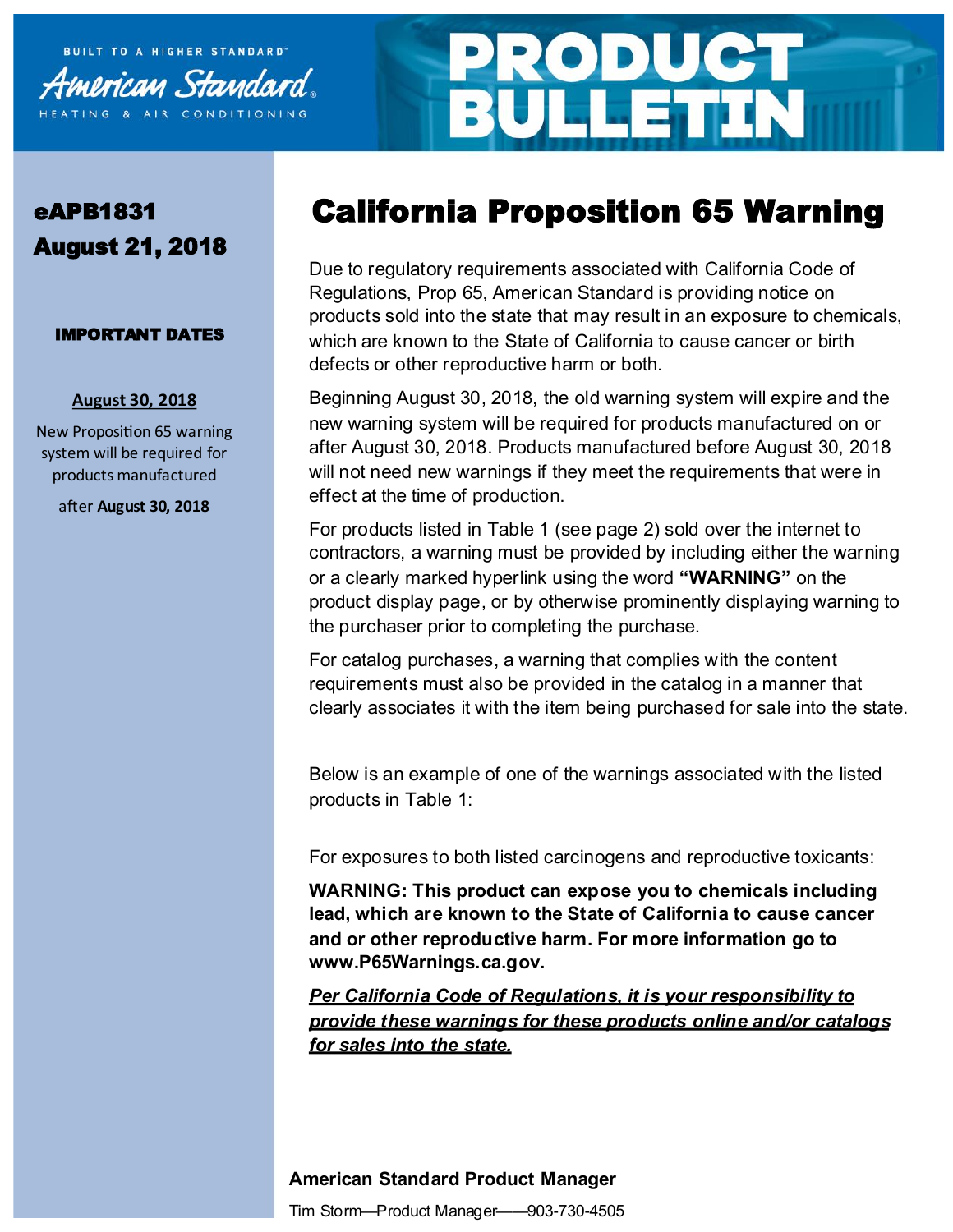



## eAPB1831 August 21, 2018

#### IMPORTANT DATES

#### **August 30, 2018**

New Proposition 65 warning system will be required for products manufactured

after **August 30, 2018**

# California Proposition 65 Warning

Due to regulatory requirements associated with California Code of Regulations, Prop 65, American Standard is providing notice on products sold into the state that may result in an exposure to chemicals, which are known to the State of California to cause cancer or birth defects or other reproductive harm or both.

Beginning August 30, 2018, the old warning system will expire and the new warning system will be required for products manufactured on or after August 30, 2018. Products manufactured before August 30, 2018 will not need new warnings if they meet the requirements that were in effect at the time of production.

For products listed in Table 1 (see page 2) sold over the internet to contractors, a warning must be provided by including either the warning or a clearly marked hyperlink using the word **"WARNING"** on the product display page, or by otherwise prominently displaying warning to the purchaser prior to completing the purchase.

For catalog purchases, a warning that complies with the content requirements must also be provided in the catalog in a manner that clearly associates it with the item being purchased for sale into the state.

Below is an example of one of the warnings associated with the listed products in Table 1:

For exposures to both listed carcinogens and reproductive toxicants:

**WARNING: This product can expose you to chemicals including lead, which are known to the State of California to cause cancer and or other reproductive harm. For more information go to www.P65Warnings.ca.gov.** 

*Per California Code of Regulations, it is your responsibility to provide these warnings for these products online and/or catalogs for sales into the state.* 

### **American Standard Product Manager**

Tim Storm—Product Manager——903-730-4505